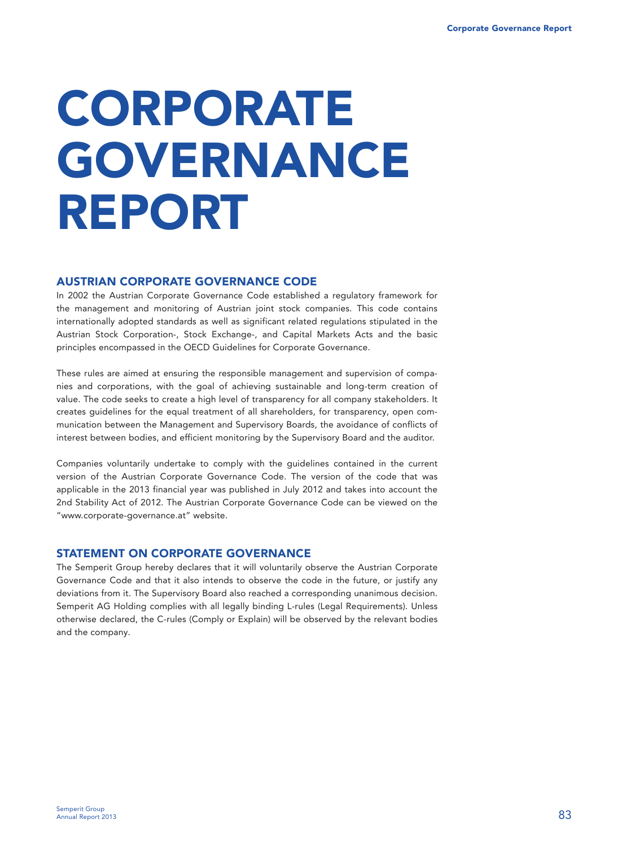# **CORPORATE GOVERNANCE REPORT**

### **AUSTRIAN CORPORATE GOVERNANCE CODE**

In 2002 the Austrian Corporate Governance Code established a regulatory framework for the management and monitoring of Austrian joint stock companies. This code contains internationally adopted standards as well as significant related regulations stipulated in the Austrian Stock Corporation-, Stock Exchange-, and Capital Markets Acts and the basic principles encompassed in the OECD Guidelines for Corporate Governance.

These rules are aimed at ensuring the responsible management and supervision of companies and corporations, with the goal of achieving sustainable and long-term creation of value. The code seeks to create a high level of transparency for all company stakeholders. It creates guidelines for the equal treatment of all shareholders, for transparency, open communication between the Management and Supervisory Boards, the avoidance of conflicts of interest between bodies, and efficient monitoring by the Supervisory Board and the auditor.

Companies voluntarily undertake to comply with the guidelines contained in the current version of the Austrian Corporate Governance Code. The version of the code that was applicable in the 2013 financial year was published in July 2012 and takes into account the 2nd Stability Act of 2012. The Austrian Corporate Governance Code can be viewed on the "www.corporate-governance.at" website.

# **STATEMENT ON CORPORATE GOVERNANCE**

The Semperit Group hereby declares that it will voluntarily observe the Austrian Corporate Governance Code and that it also intends to observe the code in the future, or justify any deviations from it. The Supervisory Board also reached a corresponding unanimous decision. Semperit AG Holding complies with all legally binding L-rules (Legal Requirements). Unless otherwise declared, the C-rules (Comply or Explain) will be observed by the relevant bodies and the company.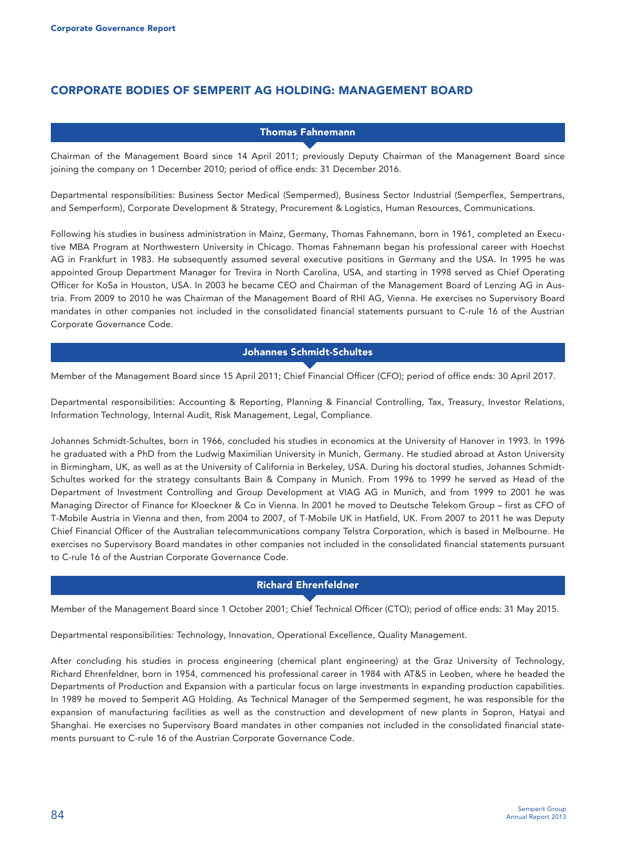# **CORPORATE BODIES OF SEMPERIT AG HOLDING: MANAGEMENT BOARD**

#### **Thomas Fahnemann**

Chairman of the Management Board since 14 April 2011; previously Deputy Chairman of the Management Board since joining the company on 1 December 2010; period of office ends: 31 December 2016.

Departmental responsibilities: Business Sector Medical (Sempermed), Business Sector Industrial (Semperflex, Sempertrans, and Semperform), Corporate Development & Strategy, Procurement & Logistics, Human Resources, Communications.

Following his studies in business administration in Mainz, Germany, Thomas Fahnemann, born in 1961, completed an Executive MBA Program at Northwestern University in Chicago. Thomas Fahnemann began his professional career with Hoechst AG in Frankfurt in 1983. He subsequently assumed several executive positions in Germany and the USA. In 1995 he was appointed Group Department Manager for Trevira in North Carolina, USA, and starting in 1998 served as Chief Operating Officer for KoSa in Houston, USA. In 2003 he became CEO and Chairman of the Management Board of Lenzing AG in Austria. From 2009 to 2010 he was Chairman of the Management Board of RHI AG, Vienna. He exercises no Supervisory Board mandates in other companies not included in the consolidated financial statements pursuant to C-rule 16 of the Austrian Corporate Governance Code.

#### **Johannes Schmidt-Schultes**

Member of the Management Board since 15 April 2011; Chief Financial Officer (CFO); period of office ends: 30 April 2017.

Departmental responsibilities: Accounting & Reporting, Planning & Financial Controlling, Tax, Treasury, Investor Relations, Information Technology, Internal Audit, Risk Management, Legal, Compliance.

Johannes Schmidt-Schultes, born in 1966, concluded his studies in economics at the University of Hanover in 1993. In 1996 he graduated with a PhD from the Ludwig Maximilian University in Munich, Germany. He studied abroad at Aston University in Birmingham, UK, as well as at the University of California in Berkeley, USA. During his doctoral studies, Johannes Schmidt-Schultes worked for the strategy consultants Bain & Company in Munich. From 1996 to 1999 he served as Head of the Department of Investment Controlling and Group Development at VIAG AG in Munich, and from 1999 to 2001 he was Managing Director of Finance for Kloeckner & Co in Vienna. In 2001 he moved to Deutsche Telekom Group – first as CFO of T-Mobile Austria in Vienna and then, from 2004 to 2007, of T-Mobile UK in Hatfield, UK. From 2007 to 2011 he was Deputy Chief Financial Officer of the Australian telecommunications company Telstra Corporation, which is based in Melbourne. He exercises no Supervisory Board mandates in other companies not included in the consolidated financial statements pursuant to C-rule 16 of the Austrian Corporate Governance Code.

# **Richard Ehrenfeldner**

Member of the Management Board since 1 October 2001; Chief Technical Officer (CTO); period of office ends: 31 May 2015.

Departmental responsibilities: Technology, Innovation, Operational Excellence, Quality Management.

After concluding his studies in process engineering (chemical plant engineering) at the Graz University of Technology, Richard Ehrenfeldner, born in 1954, commenced his professional career in 1984 with AT&S in Leoben, where he headed the Departments of Production and Expansion with a particular focus on large investments in expanding production capabilities. In 1989 he moved to Semperit AG Holding. As Technical Manager of the Sempermed segment, he was responsible for the expansion of manufacturing facilities as well as the construction and development of new plants in Sopron, Hatyai and Shanghai. He exercises no Supervisory Board mandates in other companies not included in the consolidated financial statements pursuant to C-rule 16 of the Austrian Corporate Governance Code.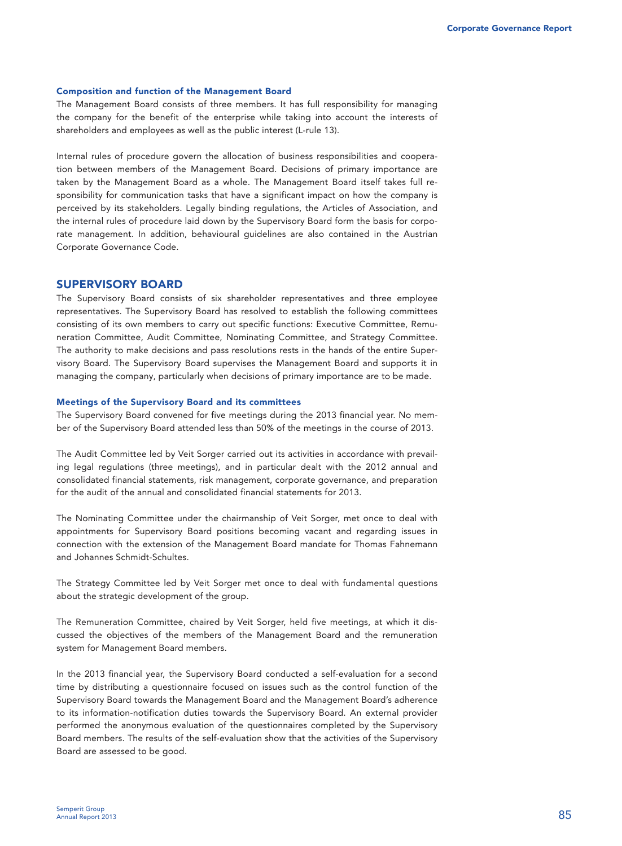#### **Composition and function of the Management Board**

The Management Board consists of three members. It has full responsibility for managing the company for the benefit of the enterprise while taking into account the interests of shareholders and employees as well as the public interest (L-rule 13).

Internal rules of procedure govern the allocation of business responsibilities and cooperation between members of the Management Board. Decisions of primary importance are taken by the Management Board as a whole. The Management Board itself takes full responsibility for communication tasks that have a significant impact on how the company is perceived by its stakeholders. Legally binding regulations, the Articles of Association, and the internal rules of procedure laid down by the Supervisory Board form the basis for corporate management. In addition, behavioural guidelines are also contained in the Austrian Corporate Governance Code.

#### **SUPERVISORY BOARD**

The Supervisory Board consists of six shareholder representatives and three employee representatives. The Supervisory Board has resolved to establish the following committees consisting of its own members to carry out specific functions: Executive Committee, Remuneration Committee, Audit Committee, Nominating Committee, and Strategy Committee. The authority to make decisions and pass resolutions rests in the hands of the entire Supervisory Board. The Supervisory Board supervises the Management Board and supports it in managing the company, particularly when decisions of primary importance are to be made.

#### **Meetings of the Supervisory Board and its committees**

The Supervisory Board convened for five meetings during the 2013 financial year. No member of the Supervisory Board attended less than 50% of the meetings in the course of 2013.

The Audit Committee led by Veit Sorger carried out its activities in accordance with prevailing legal regulations (three meetings), and in particular dealt with the 2012 annual and consolidated financial statements, risk management, corporate governance, and preparation for the audit of the annual and consolidated financial statements for 2013.

The Nominating Committee under the chairmanship of Veit Sorger, met once to deal with appointments for Supervisory Board positions becoming vacant and regarding issues in connection with the extension of the Management Board mandate for Thomas Fahnemann and Johannes Schmidt-Schultes.

The Strategy Committee led by Veit Sorger met once to deal with fundamental questions about the strategic development of the group.

The Remuneration Committee, chaired by Veit Sorger, held five meetings, at which it discussed the objectives of the members of the Management Board and the remuneration system for Management Board members.

In the 2013 financial year, the Supervisory Board conducted a self-evaluation for a second time by distributing a questionnaire focused on issues such as the control function of the Supervisory Board towards the Management Board and the Management Board's adherence to its information-notification duties towards the Supervisory Board. An external provider performed the anonymous evaluation of the questionnaires completed by the Supervisory Board members. The results of the self-evaluation show that the activities of the Supervisory Board are assessed to be good.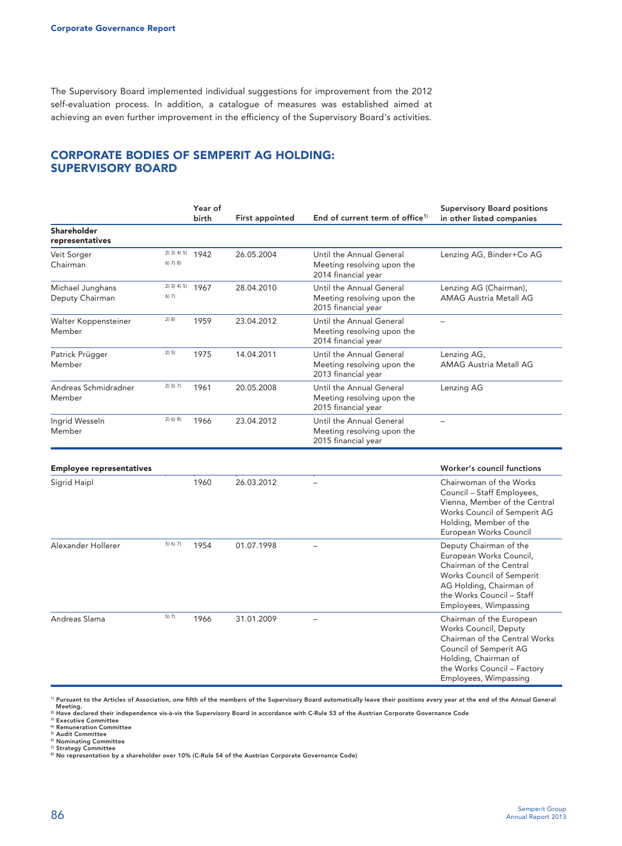The Supervisory Board implemented individual suggestions for improvement from the 2012 self-evaluation process. In addition, a catalogue of measures was established aimed at achieving an even further improvement in the efficiency of the Supervisory Board's activities.

# **CORPORATE BODIES OF SEMPERIT AG HOLDING: SUPERVISORY BOARD**

|                                     |                             | Year of<br>birth | First appointed | End of current term of office <sup>1)</sup>                                   | <b>Supervisory Board positions</b><br>in other listed companies                                                                                                                                   |  |
|-------------------------------------|-----------------------------|------------------|-----------------|-------------------------------------------------------------------------------|---------------------------------------------------------------------------------------------------------------------------------------------------------------------------------------------------|--|
| Shareholder<br>representatives      |                             |                  |                 |                                                                               |                                                                                                                                                                                                   |  |
| Veit Sorger<br>Chairman             | $2)$ 3) 4) 5)<br>$6)$ 7) 8) | 1942             | 26.05.2004      | Until the Annual General<br>Meeting resolving upon the<br>2014 financial year | Lenzing AG, Binder+Co AG                                                                                                                                                                          |  |
| Michael Junghans<br>Deputy Chairman | 2) 3) 4) 5)<br>6) 7)        | 1967             | 28.04.2010      | Until the Annual General<br>Meeting resolving upon the<br>2015 financial year | Lenzing AG (Chairman),<br><b>AMAG Austria Metall AG</b>                                                                                                                                           |  |
| Walter Koppensteiner<br>Member      | 2) 8)                       | 1959             | 23.04.2012      | Until the Annual General<br>Meeting resolving upon the<br>2014 financial year | $\equiv$                                                                                                                                                                                          |  |
| Patrick Prügger<br>Member           | 2) 5)                       | 1975             | 14.04.2011      | Until the Annual General<br>Meeting resolving upon the<br>2013 financial year | Lenzing AG,<br><b>AMAG Austria Metall AG</b>                                                                                                                                                      |  |
| Andreas Schmidradner<br>Member      | 2) 5) 7)                    | 1961             | 20.05.2008      | Until the Annual General<br>Meeting resolving upon the<br>2015 financial year | Lenzing AG                                                                                                                                                                                        |  |
| Ingrid Wesseln<br>Member            | 2) 6) 8)                    | 1966             | 23.04.2012      | Until the Annual General<br>Meeting resolving upon the<br>2015 financial year |                                                                                                                                                                                                   |  |
| <b>Employee representatives</b>     |                             |                  |                 |                                                                               | Worker's council functions                                                                                                                                                                        |  |
| Sigrid Haipl                        |                             | 1960             | 26.03.2012      |                                                                               | Chairwoman of the Works<br>Council - Staff Employees,<br>Vienna, Member of the Central<br>Works Council of Semperit AG<br>Holding, Member of the<br>European Works Council                        |  |
| Alexander Hollerer                  | 5) 6) 7)                    | 1954             | 01.07.1998      |                                                                               | Deputy Chairman of the<br>European Works Council,<br>Chairman of the Central<br><b>Works Council of Semperit</b><br>AG Holding, Chairman of<br>the Works Council - Staff<br>Employees, Wimpassing |  |
| Andreas Slama                       | 5) 7)                       | 1966             | 31.01.2009      |                                                                               | Chairman of the European<br>Works Council, Deputy<br>Chairman of the Central Works<br>Council of Semperit AG<br>Holding, Chairman of<br>the Works Council - Factory<br>Employees, Wimpassing      |  |

**1) Pursuant to the Articles of Association, one fifth of the members of the Supervisory Board automatically leave their positions every year at the end of the Annual General** 

Meeting.<br><sup>2)</sup> Have declared their independence vis-à-vis the Supervisory Board in accordance with C-Rule 53 of the Austrian Corporate Governance Code

**4) Remuneration Committee 5) Audit Committee** 

<sup>6)</sup> Nominating Committee<br><sup>7)</sup> Strategy Committee<br>® No representation by a shareholder over 10% (C-Rule 54 of the Austrian Corporate Governance Code)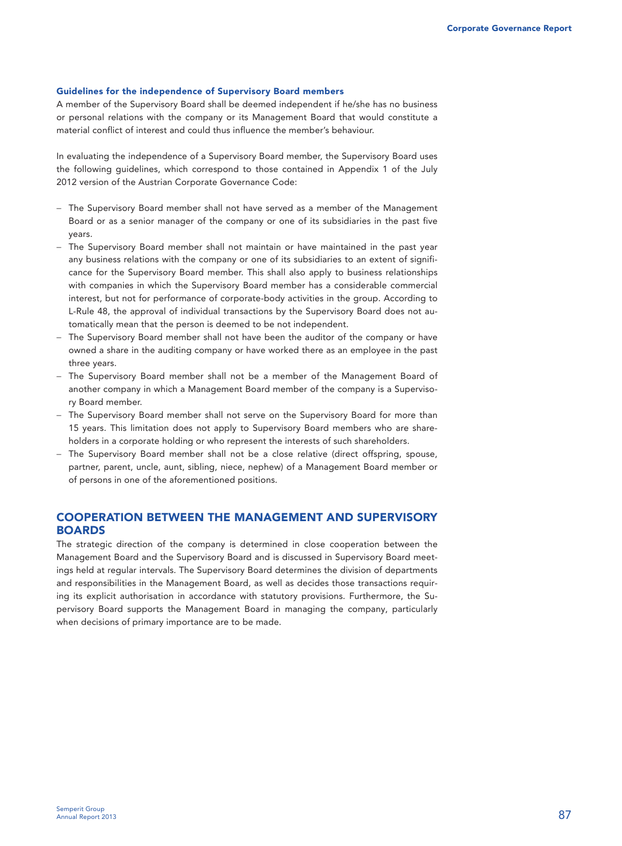#### **Guidelines for the independence of Supervisory Board members**

A member of the Supervisory Board shall be deemed independent if he/she has no business or personal relations with the company or its Management Board that would constitute a material conflict of interest and could thus influence the member's behaviour.

In evaluating the independence of a Supervisory Board member, the Supervisory Board uses the following guidelines, which correspond to those contained in Appendix 1 of the July 2012 version of the Austrian Corporate Governance Code:

- − The Supervisory Board member shall not have served as a member of the Management Board or as a senior manager of the company or one of its subsidiaries in the past five years.
- − The Supervisory Board member shall not maintain or have maintained in the past year any business relations with the company or one of its subsidiaries to an extent of significance for the Supervisory Board member. This shall also apply to business relationships with companies in which the Supervisory Board member has a considerable commercial interest, but not for performance of corporate-body activities in the group. According to L-Rule 48, the approval of individual transactions by the Supervisory Board does not automatically mean that the person is deemed to be not independent.
- − The Supervisory Board member shall not have been the auditor of the company or have owned a share in the auditing company or have worked there as an employee in the past three years.
- − The Supervisory Board member shall not be a member of the Management Board of another company in which a Management Board member of the company is a Supervisory Board member.
- − The Supervisory Board member shall not serve on the Supervisory Board for more than 15 years. This limitation does not apply to Supervisory Board members who are shareholders in a corporate holding or who represent the interests of such shareholders.
- − The Supervisory Board member shall not be a close relative (direct offspring, spouse, partner, parent, uncle, aunt, sibling, niece, nephew) of a Management Board member or of persons in one of the aforementioned positions.

### **COOPERATION BETWEEN THE MANAGEMENT AND SUPERVISORY BOARDS**

The strategic direction of the company is determined in close cooperation between the Management Board and the Supervisory Board and is discussed in Supervisory Board meetings held at regular intervals. The Supervisory Board determines the division of departments and responsibilities in the Management Board, as well as decides those transactions requiring its explicit authorisation in accordance with statutory provisions. Furthermore, the Supervisory Board supports the Management Board in managing the company, particularly when decisions of primary importance are to be made.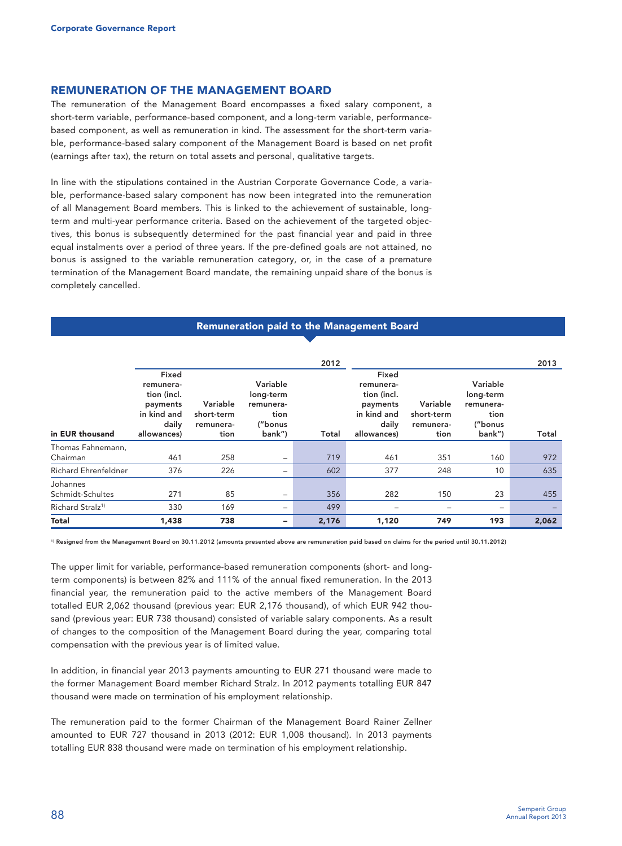#### **REMUNERATION OF THE MANAGEMENT BOARD**

The remuneration of the Management Board encompasses a fixed salary component, a short-term variable, performance-based component, and a long-term variable, performancebased component, as well as remuneration in kind. The assessment for the short-term variable, performance-based salary component of the Management Board is based on net profit (earnings after tax), the return on total assets and personal, qualitative targets.

In line with the stipulations contained in the Austrian Corporate Governance Code, a variable, performance-based salary component has now been integrated into the remuneration of all Management Board members. This is linked to the achievement of sustainable, longterm and multi-year performance criteria. Based on the achievement of the targeted objectives, this bonus is subsequently determined for the past financial year and paid in three equal instalments over a period of three years. If the pre-defined goals are not attained, no bonus is assigned to the variable remuneration category, or, in the case of a premature termination of the Management Board mandate, the remaining unpaid share of the bonus is completely cancelled.

|                              |                                                                                      |                                             |                                                                 | 2012  |                                                                                      |                                             |                                                                 | 2013  |
|------------------------------|--------------------------------------------------------------------------------------|---------------------------------------------|-----------------------------------------------------------------|-------|--------------------------------------------------------------------------------------|---------------------------------------------|-----------------------------------------------------------------|-------|
| in EUR thousand              | Fixed<br>remunera-<br>tion (incl.<br>payments<br>in kind and<br>daily<br>allowances) | Variable<br>short-term<br>remunera-<br>tion | Variable<br>long-term<br>remunera-<br>tion<br>("bonus<br>bank") | Total | Fixed<br>remunera-<br>tion (incl.<br>payments<br>in kind and<br>daily<br>allowances) | Variable<br>short-term<br>remunera-<br>tion | Variable<br>long-term<br>remunera-<br>tion<br>("bonus<br>bank") | Total |
| Thomas Fahnemann,            |                                                                                      |                                             |                                                                 |       |                                                                                      |                                             |                                                                 |       |
| Chairman                     | 461                                                                                  | 258                                         | $\qquad \qquad -$                                               | 719   | 461                                                                                  | 351                                         | 160                                                             | 972   |
| <b>Richard Ehrenfeldner</b>  | 376                                                                                  | 226                                         | $\overline{\phantom{a}}$                                        | 602   | 377                                                                                  | 248                                         | 10                                                              | 635   |
| Johannes<br>Schmidt-Schultes | 271                                                                                  | 85                                          | $\qquad \qquad -$                                               | 356   | 282                                                                                  | 150                                         | 23                                                              | 455   |
| Richard Stralz <sup>1)</sup> | 330                                                                                  | 169                                         | $\qquad \qquad -$                                               | 499   | -                                                                                    | -                                           | $\qquad \qquad$                                                 |       |
| <b>Total</b>                 | 1,438                                                                                | 738                                         | -                                                               | 2,176 | 1,120                                                                                | 749                                         | 193                                                             | 2,062 |

**Remuneration paid to the Management Board** 

**1) Resigned from the Management Board on 30.11.2012 (amounts presented above are remuneration paid based on claims for the period until 30.11.2012)** 

The upper limit for variable, performance-based remuneration components (short- and longterm components) is between 82% and 111% of the annual fixed remuneration. In the 2013 financial year, the remuneration paid to the active members of the Management Board totalled EUR 2,062 thousand (previous year: EUR 2,176 thousand), of which EUR 942 thousand (previous year: EUR 738 thousand) consisted of variable salary components. As a result of changes to the composition of the Management Board during the year, comparing total compensation with the previous year is of limited value.

In addition, in financial year 2013 payments amounting to EUR 271 thousand were made to the former Management Board member Richard Stralz. In 2012 payments totalling EUR 847 thousand were made on termination of his employment relationship.

The remuneration paid to the former Chairman of the Management Board Rainer Zellner amounted to EUR 727 thousand in 2013 (2012: EUR 1,008 thousand). In 2013 payments totalling EUR 838 thousand were made on termination of his employment relationship.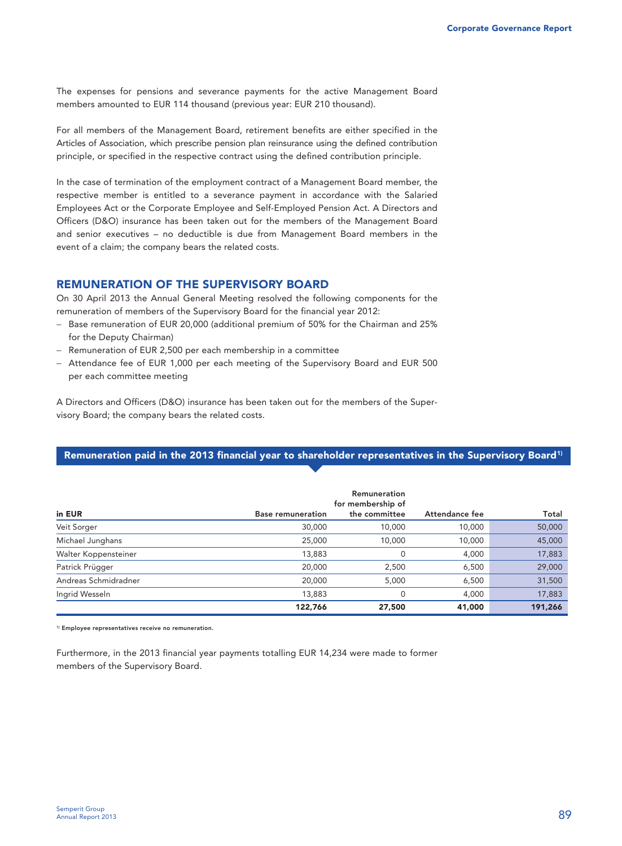The expenses for pensions and severance payments for the active Management Board members amounted to EUR 114 thousand (previous year: EUR 210 thousand).

For all members of the Management Board, retirement benefits are either specified in the Articles of Association, which prescribe pension plan reinsurance using the defined contribution principle, or specified in the respective contract using the defined contribution principle.

In the case of termination of the employment contract of a Management Board member, the respective member is entitled to a severance payment in accordance with the Salaried Employees Act or the Corporate Employee and Self-Employed Pension Act. A Directors and Officers (D&O) insurance has been taken out for the members of the Management Board and senior executives – no deductible is due from Management Board members in the event of a claim; the company bears the related costs.

# **REMUNERATION OF THE SUPERVISORY BOARD**

On 30 April 2013 the Annual General Meeting resolved the following components for the remuneration of members of the Supervisory Board for the financial year 2012:

- − Base remuneration of EUR 20,000 (additional premium of 50% for the Chairman and 25% for the Deputy Chairman)
- − Remuneration of EUR 2,500 per each membership in a committee
- − Attendance fee of EUR 1,000 per each meeting of the Supervisory Board and EUR 500 per each committee meeting

A Directors and Officers (D&O) insurance has been taken out for the members of the Supervisory Board; the company bears the related costs.

#### Remuneration paid in the 2013 financial year to shareholder representatives in the Supervisory Board<sup>1)</sup>

|                      |                          | Remuneration<br>for membership of |                |         |
|----------------------|--------------------------|-----------------------------------|----------------|---------|
| in EUR               | <b>Base remuneration</b> | the committee                     | Attendance fee | Total   |
| Veit Sorger          | 30,000                   | 10,000                            | 10,000         | 50,000  |
| Michael Junghans     | 25,000                   | 10,000                            | 10,000         | 45,000  |
| Walter Koppensteiner | 13,883                   | 0                                 | 4,000          | 17,883  |
| Patrick Prügger      | 20,000                   | 2,500                             | 6,500          | 29,000  |
| Andreas Schmidradner | 20,000                   | 5,000                             | 6,500          | 31,500  |
| Ingrid Wesseln       | 13,883                   | 0                                 | 4,000          | 17,883  |
|                      | 122,766                  | 27,500                            | 41,000         | 191,266 |

**1) Employee representatives receive no remuneration.** 

Furthermore, in the 2013 financial year payments totalling EUR 14,234 were made to former members of the Supervisory Board.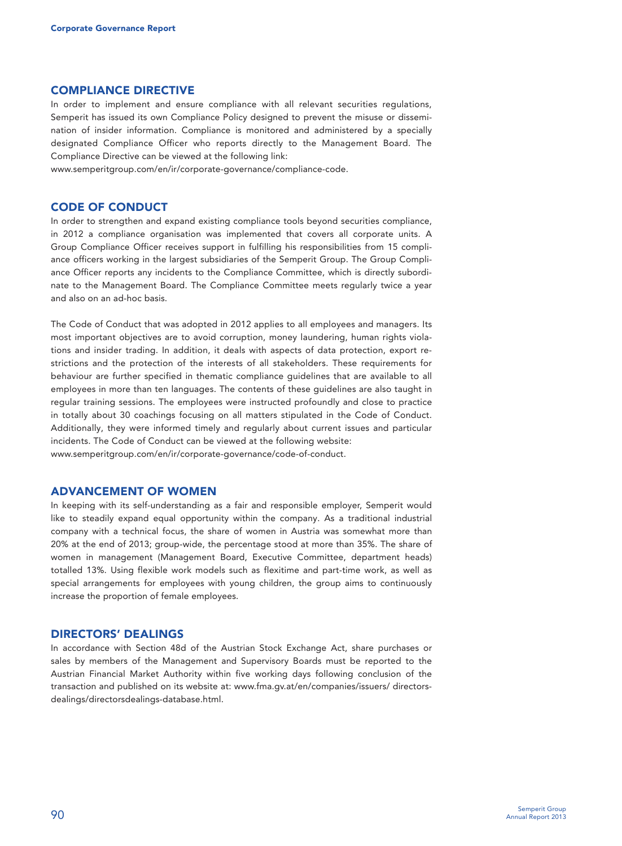#### **COMPLIANCE DIRECTIVE**

In order to implement and ensure compliance with all relevant securities regulations, Semperit has issued its own Compliance Policy designed to prevent the misuse or dissemination of insider information. Compliance is monitored and administered by a specially designated Compliance Officer who reports directly to the Management Board. The Compliance Directive can be viewed at the following link:

www.semperitgroup.com/en/ir/corporate-governance/compliance-code.

#### **CODE OF CONDUCT**

In order to strengthen and expand existing compliance tools beyond securities compliance, in 2012 a compliance organisation was implemented that covers all corporate units. A Group Compliance Officer receives support in fulfilling his responsibilities from 15 compliance officers working in the largest subsidiaries of the Semperit Group. The Group Compliance Officer reports any incidents to the Compliance Committee, which is directly subordinate to the Management Board. The Compliance Committee meets regularly twice a year and also on an ad-hoc basis.

The Code of Conduct that was adopted in 2012 applies to all employees and managers. Its most important objectives are to avoid corruption, money laundering, human rights violations and insider trading. In addition, it deals with aspects of data protection, export restrictions and the protection of the interests of all stakeholders. These requirements for behaviour are further specified in thematic compliance guidelines that are available to all employees in more than ten languages. The contents of these guidelines are also taught in regular training sessions. The employees were instructed profoundly and close to practice in totally about 30 coachings focusing on all matters stipulated in the Code of Conduct. Additionally, they were informed timely and regularly about current issues and particular incidents. The Code of Conduct can be viewed at the following website: www.semperitgroup.com/en/ir/corporate-governance/code-of-conduct.

### **ADVANCEMENT OF WOMEN**

In keeping with its self-understanding as a fair and responsible employer, Semperit would like to steadily expand equal opportunity within the company. As a traditional industrial company with a technical focus, the share of women in Austria was somewhat more than 20% at the end of 2013; group-wide, the percentage stood at more than 35%. The share of women in management (Management Board, Executive Committee, department heads) totalled 13%. Using flexible work models such as flexitime and part-time work, as well as special arrangements for employees with young children, the group aims to continuously increase the proportion of female employees.

#### **DIRECTORS' DEALINGS**

In accordance with Section 48d of the Austrian Stock Exchange Act, share purchases or sales by members of the Management and Supervisory Boards must be reported to the Austrian Financial Market Authority within five working days following conclusion of the transaction and published on its website at: www.fma.gv.at/en/companies/issuers/ directorsdealings/directorsdealings-database.html.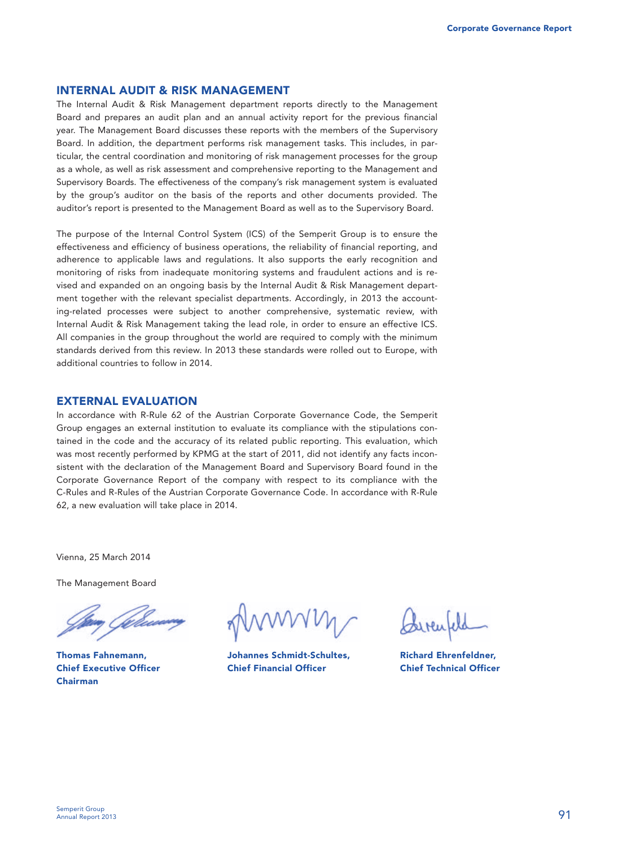#### **INTERNAL AUDIT & RISK MANAGEMENT**

The Internal Audit & Risk Management department reports directly to the Management Board and prepares an audit plan and an annual activity report for the previous financial year. The Management Board discusses these reports with the members of the Supervisory Board. In addition, the department performs risk management tasks. This includes, in particular, the central coordination and monitoring of risk management processes for the group as a whole, as well as risk assessment and comprehensive reporting to the Management and Supervisory Boards. The effectiveness of the company's risk management system is evaluated by the group's auditor on the basis of the reports and other documents provided. The auditor's report is presented to the Management Board as well as to the Supervisory Board.

The purpose of the Internal Control System (ICS) of the Semperit Group is to ensure the effectiveness and efficiency of business operations, the reliability of financial reporting, and adherence to applicable laws and regulations. It also supports the early recognition and monitoring of risks from inadequate monitoring systems and fraudulent actions and is revised and expanded on an ongoing basis by the Internal Audit & Risk Management department together with the relevant specialist departments. Accordingly, in 2013 the accounting-related processes were subject to another comprehensive, systematic review, with Internal Audit & Risk Management taking the lead role, in order to ensure an effective ICS. All companies in the group throughout the world are required to comply with the minimum standards derived from this review. In 2013 these standards were rolled out to Europe, with additional countries to follow in 2014.

#### **EXTERNAL EVALUATION**

In accordance with R-Rule 62 of the Austrian Corporate Governance Code, the Semperit Group engages an external institution to evaluate its compliance with the stipulations contained in the code and the accuracy of its related public reporting. This evaluation, which was most recently performed by KPMG at the start of 2011, did not identify any facts inconsistent with the declaration of the Management Board and Supervisory Board found in the Corporate Governance Report of the company with respect to its compliance with the C-Rules and R-Rules of the Austrian Corporate Governance Code. In accordance with R-Rule 62, a new evaluation will take place in 2014.

Vienna, 25 March 2014

The Management Board

**Thomas Fahnemann, Chief Executive Officer Chairman** 

**Johannes Schmidt-Schultes, Chief Financial Officer** 

**Richard Ehrenfeldner, Chief Technical Officer**